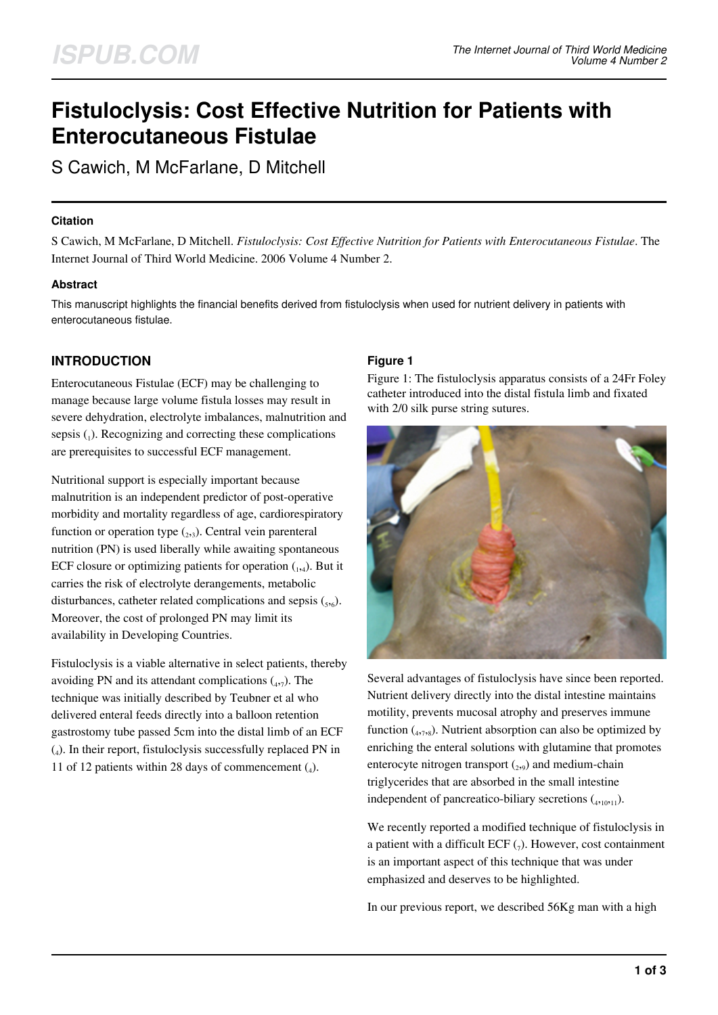# **Fistuloclysis: Cost Effective Nutrition for Patients with Enterocutaneous Fistulae**

S Cawich, M McFarlane, D Mitchell

## **Citation**

S Cawich, M McFarlane, D Mitchell. *Fistuloclysis: Cost Effective Nutrition for Patients with Enterocutaneous Fistulae*. The Internet Journal of Third World Medicine. 2006 Volume 4 Number 2.

# **Abstract**

This manuscript highlights the financial benefits derived from fistuloclysis when used for nutrient delivery in patients with enterocutaneous fistulae.

# **INTRODUCTION**

Enterocutaneous Fistulae (ECF) may be challenging to manage because large volume fistula losses may result in severe dehydration, electrolyte imbalances, malnutrition and sepsis  $\binom{1}{1}$ . Recognizing and correcting these complications are prerequisites to successful ECF management.

Nutritional support is especially important because malnutrition is an independent predictor of post-operative morbidity and mortality regardless of age, cardiorespiratory function or operation type  $_{2,3}$ ). Central vein parenteral nutrition (PN) is used liberally while awaiting spontaneous ECF closure or optimizing patients for operation  $_{1,4}$ ). But it carries the risk of electrolyte derangements, metabolic disturbances, catheter related complications and sepsis  $({}_{5,6})$ . Moreover, the cost of prolonged PN may limit its availability in Developing Countries.

Fistuloclysis is a viable alternative in select patients, thereby avoiding PN and its attendant complications  $\binom{4}{4}$ . The technique was initially described by Teubner et al who delivered enteral feeds directly into a balloon retention gastrostomy tube passed 5cm into the distal limb of an ECF (4 ). In their report, fistuloclysis successfully replaced PN in 11 of 12 patients within 28 days of commencement  $(_{4})$ .

## **Figure 1**

Figure 1: The fistuloclysis apparatus consists of a 24Fr Foley catheter introduced into the distal fistula limb and fixated with 2/0 silk purse string sutures.



Several advantages of fistuloclysis have since been reported. Nutrient delivery directly into the distal intestine maintains motility, prevents mucosal atrophy and preserves immune function  $\binom{4}{47}$ , Nutrient absorption can also be optimized by enriching the enteral solutions with glutamine that promotes enterocyte nitrogen transport  $(_{2,9})$  and medium-chain triglycerides that are absorbed in the small intestine independent of pancreatico-biliary secretions  $({}_{4,10,11}).$ 

We recently reported a modified technique of fistuloclysis in a patient with a difficult ECF  $_{(7)}$ . However, cost containment is an important aspect of this technique that was under emphasized and deserves to be highlighted.

In our previous report, we described 56Kg man with a high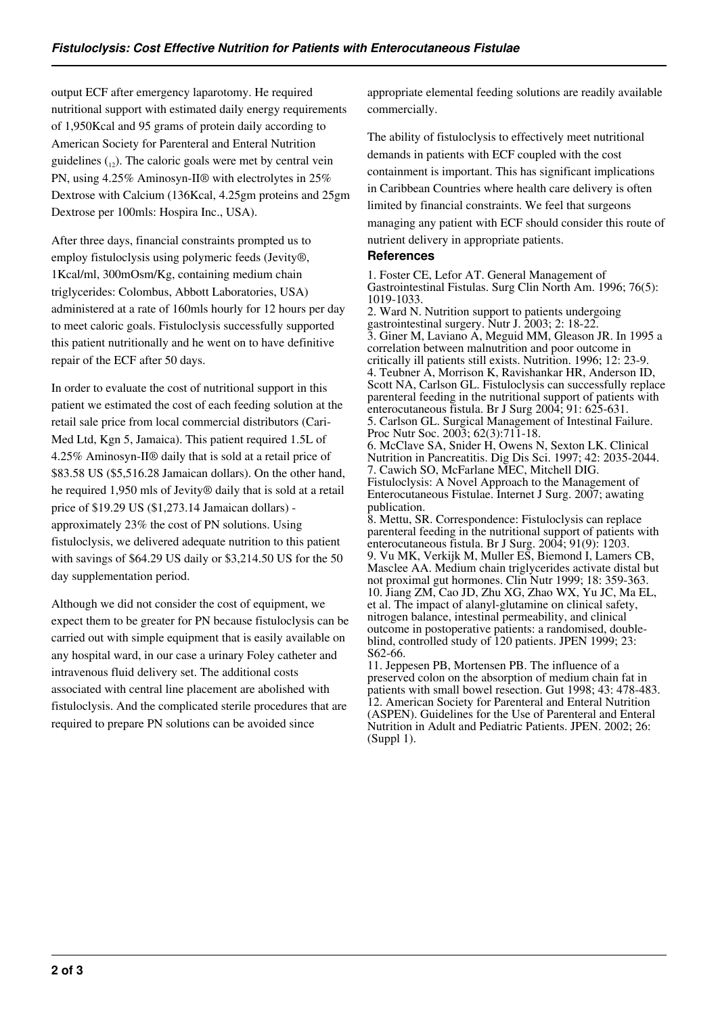output ECF after emergency laparotomy. He required nutritional support with estimated daily energy requirements of 1,950Kcal and 95 grams of protein daily according to American Society for Parenteral and Enteral Nutrition guidelines  $_{12}$ ). The caloric goals were met by central vein PN, using 4.25% Aminosyn-II® with electrolytes in 25% Dextrose with Calcium (136Kcal, 4.25gm proteins and 25gm Dextrose per 100mls: Hospira Inc., USA).

After three days, financial constraints prompted us to employ fistuloclysis using polymeric feeds (Jevity®, 1Kcal/ml, 300mOsm/Kg, containing medium chain triglycerides: Colombus, Abbott Laboratories, USA) administered at a rate of 160mls hourly for 12 hours per day to meet caloric goals. Fistuloclysis successfully supported this patient nutritionally and he went on to have definitive repair of the ECF after 50 days.

In order to evaluate the cost of nutritional support in this patient we estimated the cost of each feeding solution at the retail sale price from local commercial distributors (Cari-Med Ltd, Kgn 5, Jamaica). This patient required 1.5L of 4.25% Aminosyn-II® daily that is sold at a retail price of \$83.58 US (\$5,516.28 Jamaican dollars). On the other hand, he required 1,950 mls of Jevity® daily that is sold at a retail price of \$19.29 US (\$1,273.14 Jamaican dollars) approximately 23% the cost of PN solutions. Using fistuloclysis, we delivered adequate nutrition to this patient with savings of \$64.29 US daily or \$3,214.50 US for the 50 day supplementation period.

Although we did not consider the cost of equipment, we expect them to be greater for PN because fistuloclysis can be carried out with simple equipment that is easily available on any hospital ward, in our case a urinary Foley catheter and intravenous fluid delivery set. The additional costs associated with central line placement are abolished with fistuloclysis. And the complicated sterile procedures that are required to prepare PN solutions can be avoided since

appropriate elemental feeding solutions are readily available commercially.

The ability of fistuloclysis to effectively meet nutritional demands in patients with ECF coupled with the cost containment is important. This has significant implications in Caribbean Countries where health care delivery is often limited by financial constraints. We feel that surgeons managing any patient with ECF should consider this route of nutrient delivery in appropriate patients.

#### **References**

1. Foster CE, Lefor AT. General Management of Gastrointestinal Fistulas. Surg Clin North Am. 1996; 76(5): 1019-1033.

2. Ward N. Nutrition support to patients undergoing gastrointestinal surgery. Nutr J. 2003; 2: 18-22. 3. Giner M, Laviano A, Meguid MM, Gleason JR. In 1995 a correlation between malnutrition and poor outcome in critically ill patients still exists. Nutrition. 1996; 12: 23-9. 4. Teubner A, Morrison K, Ravishankar HR, Anderson ID, Scott NA, Carlson GL. Fistuloclysis can successfully replace parenteral feeding in the nutritional support of patients with enterocutaneous fistula. Br J Surg 2004; 91: 625-631. 5. Carlson GL. Surgical Management of Intestinal Failure. Proc Nutr Soc. 2003; 62(3):711-18. 6. McClave SA, Snider H, Owens N, Sexton LK. Clinical Nutrition in Pancreatitis. Dig Dis Sci. 1997; 42: 2035-2044. 7. Cawich SO, McFarlane MEC, Mitchell DIG. Fistuloclysis: A Novel Approach to the Management of Enterocutaneous Fistulae. Internet J Surg. 2007; awating publication.

8. Mettu, SR. Correspondence: Fistuloclysis can replace parenteral feeding in the nutritional support of patients with enterocutaneous fistula. Br J Surg. 2004; 91(9): 1203. 9. Vu MK, Verkijk M, Muller ES, Biemond I, Lamers CB, Masclee AA. Medium chain triglycerides activate distal but not proximal gut hormones. Clin Nutr 1999; 18: 359-363. 10. Jiang ZM, Cao JD, Zhu XG, Zhao WX, Yu JC, Ma EL, et al. The impact of alanyl-glutamine on clinical safety, nitrogen balance, intestinal permeability, and clinical outcome in postoperative patients: a randomised, doubleblind, controlled study of 120 patients. JPEN 1999; 23: S62-66.

11. Jeppesen PB, Mortensen PB. The influence of a preserved colon on the absorption of medium chain fat in patients with small bowel resection. Gut 1998; 43: 478-483. 12. American Society for Parenteral and Enteral Nutrition (ASPEN). Guidelines for the Use of Parenteral and Enteral Nutrition in Adult and Pediatric Patients. JPEN. 2002; 26: (Suppl 1).